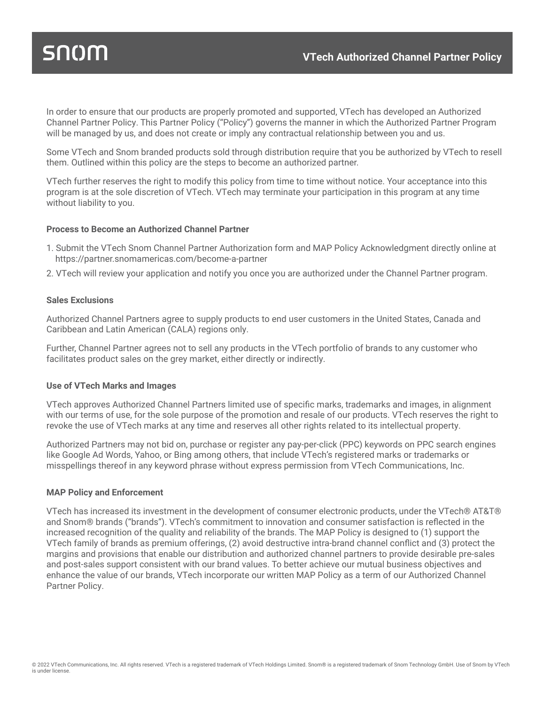# snom

In order to ensure that our products are properly promoted and supported, VTech has developed an Authorized Channel Partner Policy. This Partner Policy ("Policy") governs the manner in which the Authorized Partner Program will be managed by us, and does not create or imply any contractual relationship between you and us.

Some VTech and Snom branded products sold through distribution require that you be authorized by VTech to resell them. Outlined within this policy are the steps to become an authorized partner.

VTech further reserves the right to modify this policy from time to time without notice. Your acceptance into this program is at the sole discretion of VTech. VTech may terminate your participation in this program at any time without liability to you.

#### **Process to Become an Authorized Channel Partner**

- 1. Submit the VTech Snom Channel Partner Authorization form and MAP Policy Acknowledgment directly online at https://partner.snomamericas.com/become-a-partner
- 2. VTech will review your application and notify you once you are authorized under the Channel Partner program.

# **Sales Exclusions**

Authorized Channel Partners agree to supply products to end user customers in the United States, Canada and Caribbean and Latin American (CALA) regions only.

Further, Channel Partner agrees not to sell any products in the VTech portfolio of brands to any customer who facilitates product sales on the grey market, either directly or indirectly.

#### **Use of VTech Marks and Images**

VTech approves Authorized Channel Partners limited use of specific marks, trademarks and images, in alignment with our terms of use, for the sole purpose of the promotion and resale of our products. VTech reserves the right to revoke the use of VTech marks at any time and reserves all other rights related to its intellectual property.

Authorized Partners may not bid on, purchase or register any pay-per-click (PPC) keywords on PPC search engines like Google Ad Words, Yahoo, or Bing among others, that include VTech's registered marks or trademarks or misspellings thereof in any keyword phrase without express permission from VTech Communications, Inc.

#### **MAP Policy and Enforcement**

VTech has increased its investment in the development of consumer electronic products, under the VTech® AT&T® and Snom® brands ("brands"). VTech's commitment to innovation and consumer satisfaction is reflected in the increased recognition of the quality and reliability of the brands. The MAP Policy is designed to (1) support the VTech family of brands as premium offerings, (2) avoid destructive intra-brand channel conflict and (3) protect the margins and provisions that enable our distribution and authorized channel partners to provide desirable pre-sales and post-sales support consistent with our brand values. To better achieve our mutual business objectives and enhance the value of our brands, VTech incorporate our written MAP Policy as a term of our Authorized Channel Partner Policy.